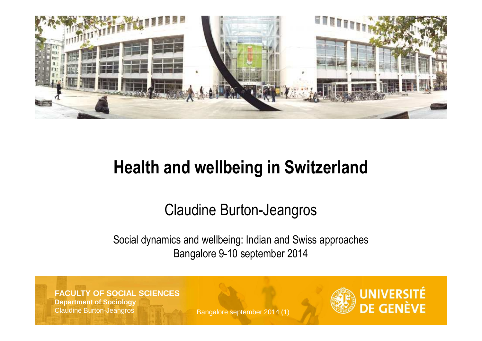

## **Health and wellbeing in Switzerland**

### Claudine Burton-Jeangros

### Social dynamics and wellbeing: Indian and Swiss approachesBangalore 9-10 september 2014

**FACULTY OF SOCIAL SCIENCESDepartment of Sociology**Claudine Burton-Jeangros

Bangalore september 2014 (1)

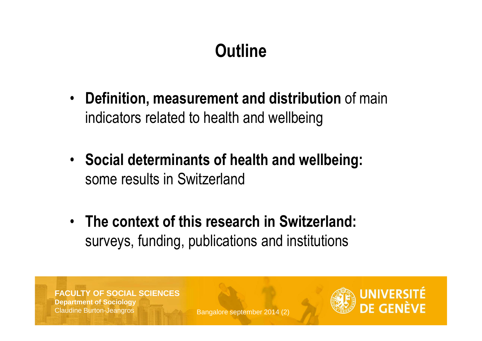# **Outline**

- **Definition, measurement and distribution** of main indicators related to health and wellbeing
- **Social determinants of health and wellbeing:** some results in Switzerland
- **The context of this research in Switzerland:**  surveys, funding, publications and institutions

**FACULTY OF SOCIAL SCIENCESDepartment of Sociology**Claudine Burton-Jeangros

Bangalore september 2014 (2)

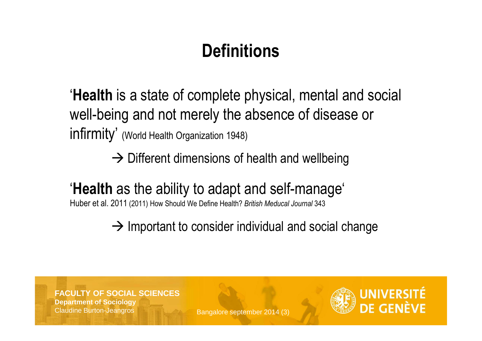# **Definitions**

'**Health** is a state of complete physical, mental and social well-being and not merely the absence of disease or infirmity' (World Health Organization 1948)

 $\rightarrow$  Different dimensions of health and wellbeing

# '**Health** as the ability to adapt and self-manage'

Huber et al. 2011 (2011) How Should We Define Health? *British Meducal Journal* <sup>343</sup>

 $\rightarrow$  Important to consider individual and social change

**FACULTY OF SOCIAL SCIENCESDepartment of Sociology**Claudine Burton-Jeangros

Bangalore september 2014 (3)

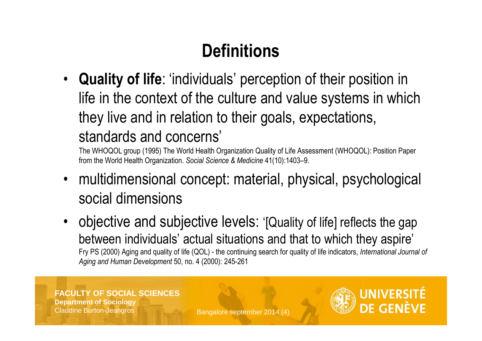# **Definitions**

• **Quality of life**: 'individuals' perception of their position in life in the context of the culture and value systems in which they live and in relation to their goals, expectations, standards and concerns'

The WHOQOL group (1995) The World Health Organization Quality of Life Assessment (WHOQOL): Position Paper from the World Health Organization. *Social Science & Medicine* 41(10):1403–9.

- • multidimensional concept: material, physical, psychological social dimensions
- • objective and subjective levels: '[Quality of life] reflects the gap between individuals' actual situations and that to which they aspire' Fry PS (2000) Aging and quality of life (QOL) - the continuing search for quality of life indicators, *International Journal of Aging and Human Development* 50, no. 4 (2000): 245-261

#### **FACULTY OF SOCIAL SCIENCESDepartment of Sociology**Claudine Burton-Jeangros

Bangalore september 2014 (4)

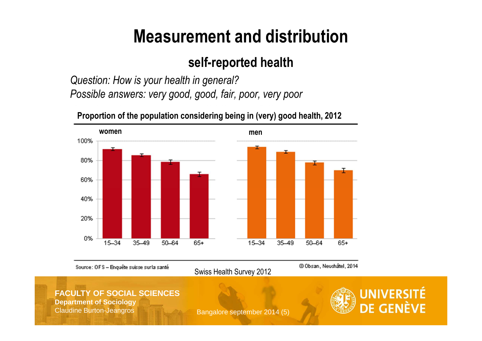# **Measurement and distribution**

### **self-reported health**

*Question: How is your health in general?Possible answers: very good, good, fair, poor, very poor*



**Proportion of the population considering being in (very) good health, 2012**

Source: OFS - Enquête suisse surla santé

Swiss Health Survey 2012

@ Obsan, Neuchâtel, 2014

#### **FACULTY OF SOCIAL SCIENCES**

**Department of Sociology**Claudine Burton-Jeangros

Bangalore september 2014 (5)

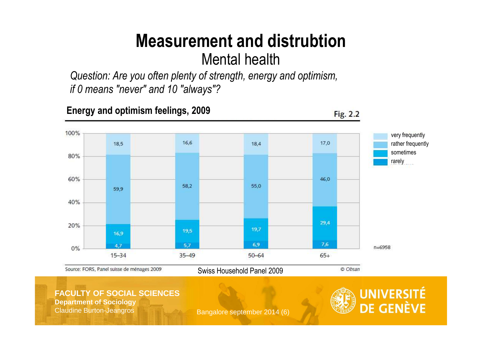### **Measurement and distrubtion**Mental health

 *Question: Are you often plenty of strength, energy and optimism, if 0 means "never" and 10 "always"?*



#### **FACULTY OF SOCIAL SCIENCES**

**Department of Sociology**Claudine Burton-Jeangros

Bangalore september 2014 (6)

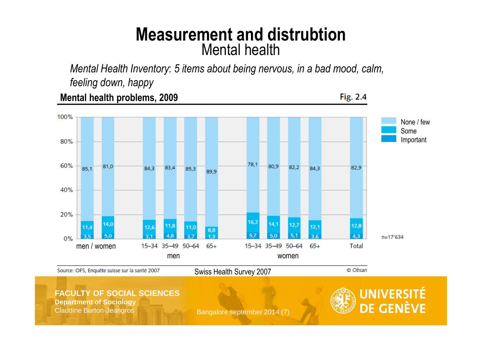### **Measurement and distrubtion**Mental health

 *Mental Health Inventory*: *5 items about being nervous, in a bad mood, calm, feeling down, happy*

**Mental health problems, 2009**

Fig. 2.4



#### **FACULTY OF SOCIAL SCIENCES**

**Department of Sociology**Claudine Burton-Jeangros

Bangalore september 2014 (7)

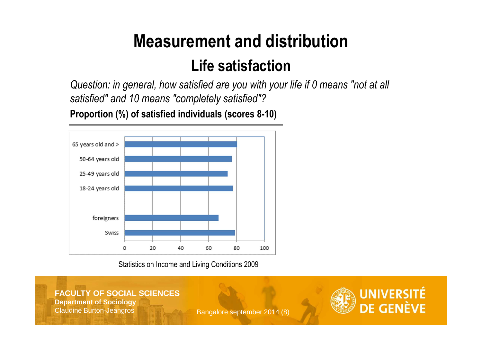# **Measurement and distribution**

### **Life satisfaction**

 *Question: in general, how satisfied are you with your life if 0 means "not at all satisfied" and 10 means "completely satisfied"?*



**Proportion (%) of satisfied individuals (scores 8-10)**

Statistics on Income and Living Conditions 2009

#### **FACULTY OF SOCIAL SCIENCESDepartment of Sociology** Claudine Burton-JeangrosBangalore september 2014 (8)

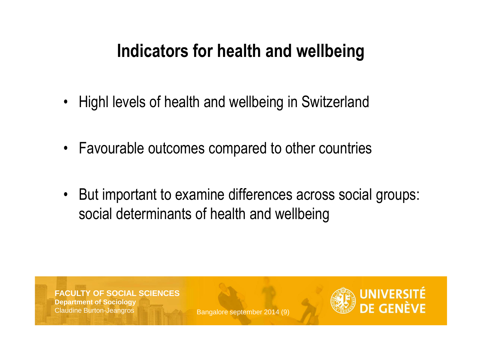## **Indicators for health and wellbeing**

- •Highl levels of health and wellbeing in Switzerland
- •Favourable outcomes compared to other countries
- • But important to examine differences across social groups: social determinants of health and wellbeing

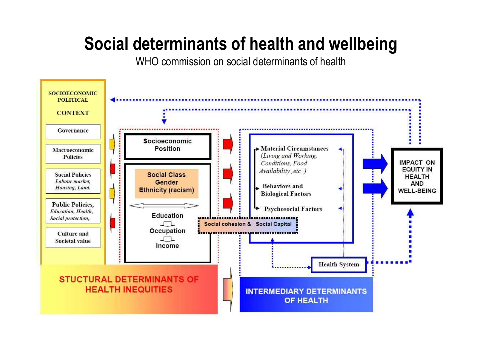WHO commission on social determinants of health

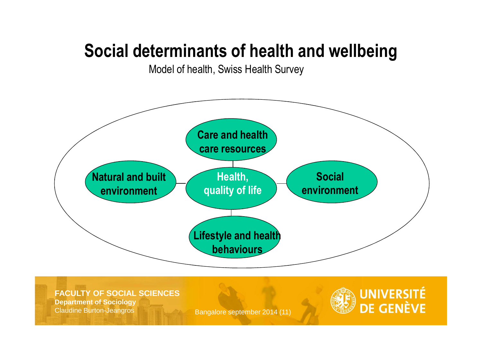Model of health, Swiss Health Survey



**FACULTY OF SOCIAL SCIENCES**

**Department of Sociology**Claudine Burton-Jeangros

Bangalore september 2014 (11)

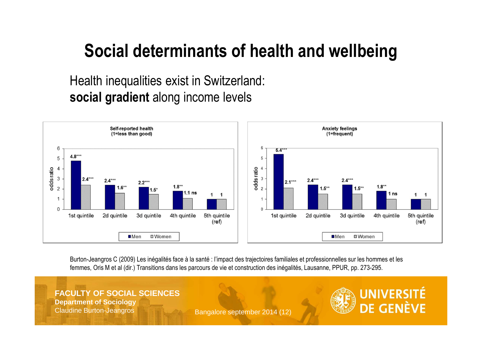Health inequalities exist in Switzerland: **social gradient** along income levels



Burton-Jeangros C (2009) Les inégalités face à la santé : l'impact des trajectoires familiales et professionnelles sur les hommes et les femmes, Oris M et al (dir.) Transitions dans les parcours de vie et construction des inégalités, Lausanne, PPUR, pp. 273-295.

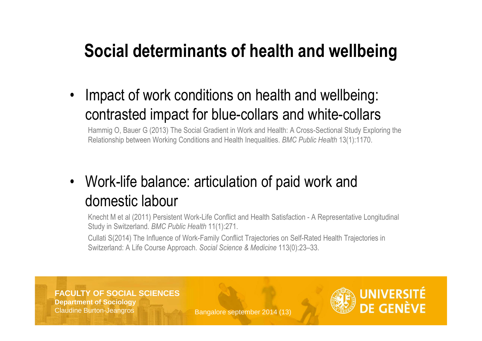• Impact of work conditions on health and wellbeing: contrasted impact for blue-collars and white-collars

 Hammig O, Bauer G (2013) The Social Gradient in Work and Health: A Cross-Sectional Study Exploring theRelationship between Working Conditions and Health Inequalities. *BMC Public Health* 13(1):1170.

#### • Work-life balance: articulation of paid work and domestic labour

Knecht M et al (2011) Persistent Work-Life Conflict and Health Satisfaction - A Representative Longitudinal Study in Switzerland. *BMC Public Health* 11(1):271.

Cullati S(2014) The Influence of Work-Family Conflict Trajectories on Self-Rated Health Trajectories in Switzerland: A Life Course Approach. *Social Science & Medicine* 113(0):23–33.

#### **FACULTY OF SOCIAL SCIENCES**

**Department of Sociology**Claudine Burton-Jeangros

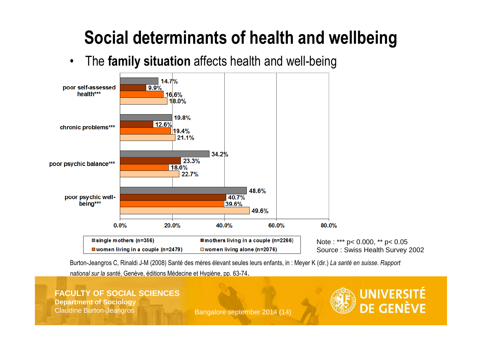•The **family situation** affects health and well-being



Burton-Jeangros C, Rinaldi J-M (2008) Santé des mères élevant seules leurs enfants, in : Meyer K (dir.) *La santé en suisse. Rapport national sur la santé*, Genève, éditions Médecine et Hygiène, pp. 63-74.

**FACULTY OF SOCIAL SCIENCESDepartment of Sociology**Claudine Burton-Jeangros

Bangalore september 2014 (14)

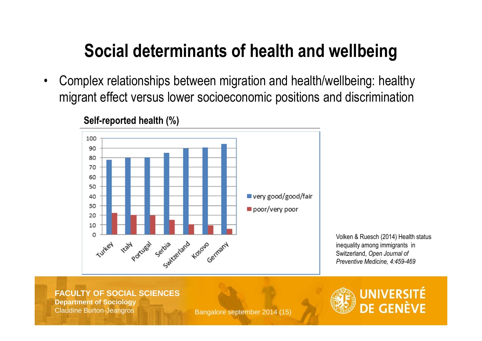$\bullet$  Complex relationships between migration and health/wellbeing: healthy migrant effect versus lower socioeconomic positions and discrimination



#### **Self-reported health (%)**

Volken & Ruesch (2014) Health statusinequality among immigrants in Switzerland, *Open Journal of Preventive Medicine, 4:459-469*

**FACULTY OF SOCIAL SCIENCESDepartment of Sociology**

Claudine Burton-Jeangros

Bangalore september 2014 (15)

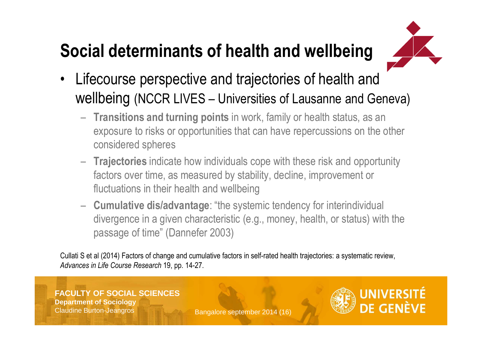

- • Lifecourse perspective and trajectories of health and wellbeing (NCCR LIVES – Universities of Lausanne and Geneva)
	- **Transitions and turning points** in work, family or health status, as an exposure to risks or opportunities that can have repercussions on the other considered spheres
	- – **Trajectories** indicate how individuals cope with these risk and opportunity factors over time, as measured by stability, decline, improvement or fluctuations in their health and wellbeing
	- – **Cumulative dis/advantage**: "the systemic tendency for interindividual divergence in a given characteristic (e.g., money, health, or status) with the passage of time" (Dannefer 2003)

Cullati S et al (2014) Factors of change and cumulative factors in self-rated health trajectories: a systematic review, *Advances in Life Course Research* 19, pp. 14-27.



Bangalore september 2014 (16)

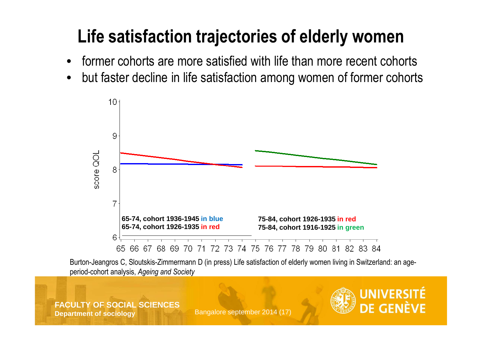# **Life satisfaction trajectories of elderly women**

- $\bullet$ former cohorts are more satisfied with life than more recent cohorts
- but faster decline in life satisfaction among women of former cohorts•



Burton-Jeangros C, Sloutskis-Zimmermann D (in press) Life satisfaction of elderly women living in Switzerland: an ageperiod-cohort analysis, *Ageing and Society*

#### **FACULTY OF SOCIAL SCIENCESDepartment of sociology**

Bangalore september 2014 (17)

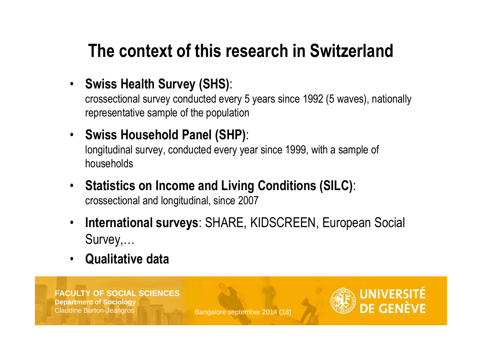## **The context of this research in Switzerland**

### • **Swiss Health Survey (SHS)**:

crossectional survey conducted every 5 years since 1992 (5 waves), nationally representative sample of the population

### • **Swiss Household Panel (SHP)**:

longitudinal survey, conducted every year since 1999, with a sample of households

- **Statistics on Income and Living Conditions (SILC)**: crossectional and longitudinal, since 2007
- • **International surveys**: SHARE, KIDSCREEN, European Social Survey,…
- **Qualitative data**•

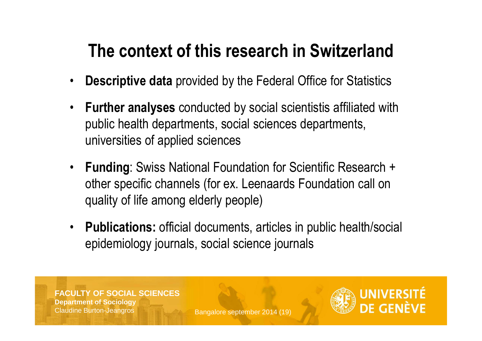## **The context of this research in Switzerland**

- •**Descriptive data** provided by the Federal Office for Statistics
- • **Further analyses** conducted by social scientistis affiliated with public health departments, social sciences departments, universities of applied sciences
- $\bullet$  **Funding**: Swiss National Foundation for Scientific Research + other specific channels (for ex. Leenaards Foundation call on quality of life among elderly people)
- $\bullet$  **Publications:** official documents, articles in public health/social epidemiology journals, social science journals

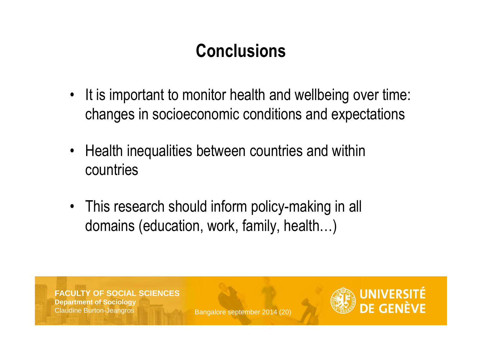# **Conclusions**

- •It is important to monitor health and wellbeing over time: changes in socioeconomic conditions and expectations
- Health inequalities between countries and withincountries
- This research should inform policy-making in all domains (education, work, family, health…)

**FACULTY OF SOCIAL SCIENCESDepartment of Sociology**Claudine Burton-Jeangros

Bangalore september 2014 (20)